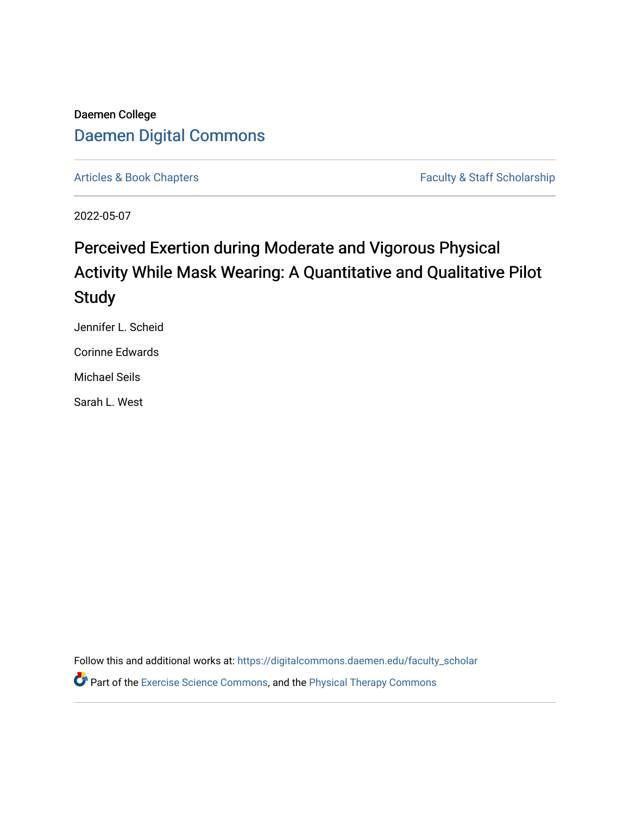## Daemen College [Daemen Digital Commons](https://digitalcommons.daemen.edu/)

[Articles & Book Chapters](https://digitalcommons.daemen.edu/faculty_scholar) **Faculty & Staff Scholarship** Faculty & Staff Scholarship

2022-05-07

# Perceived Exertion during Moderate and Vigorous Physical Activity While Mask Wearing: A Quantitative and Qualitative Pilot **Study**

Jennifer L. Scheid

Corinne Edwards

Michael Seils

Sarah L. West

Follow this and additional works at: [https://digitalcommons.daemen.edu/faculty\\_scholar](https://digitalcommons.daemen.edu/faculty_scholar?utm_source=digitalcommons.daemen.edu%2Ffaculty_scholar%2F568&utm_medium=PDF&utm_campaign=PDFCoverPages) 

**P** Part of the [Exercise Science Commons](http://network.bepress.com/hgg/discipline/1091?utm_source=digitalcommons.daemen.edu%2Ffaculty_scholar%2F568&utm_medium=PDF&utm_campaign=PDFCoverPages), and the Physical Therapy Commons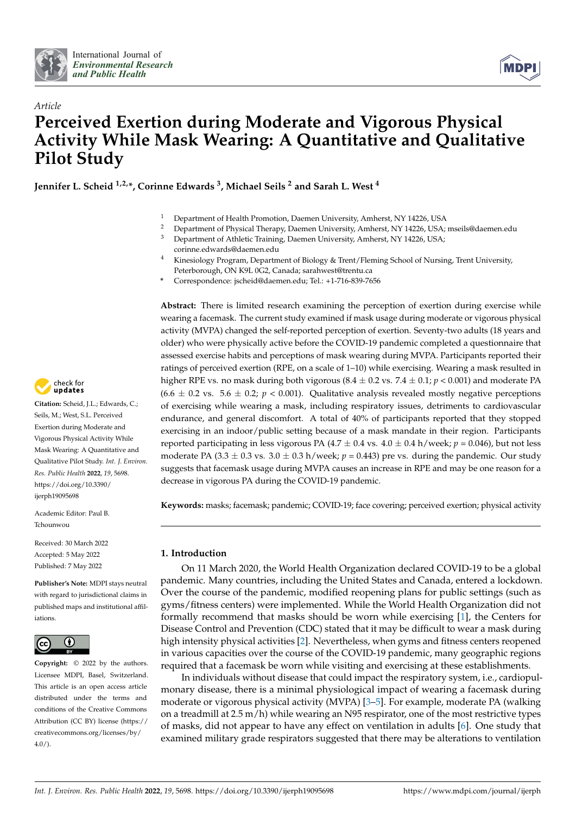



## *Article* **Perceived Exertion during Moderate and Vigorous Physical Activity While Mask Wearing: A Quantitative and Qualitative Pilot Study**

**Jennifer L. Scheid 1,2,\*, Corinne Edwards <sup>3</sup> , Michael Seils <sup>2</sup> and Sarah L. West <sup>4</sup>**

- <sup>1</sup> Department of Health Promotion, Daemen University, Amherst, NY 14226, USA
- <sup>2</sup> Department of Physical Therapy, Daemen University, Amherst, NY 14226, USA; mseils@daemen.edu<br><sup>3</sup> Department of Athletic Training, Daemen University, Amherst, NY 14226, USA:
- Department of Athletic Training, Daemen University, Amherst, NY 14226, USA; corinne.edwards@daemen.edu
- <sup>4</sup> Kinesiology Program, Department of Biology & Trent/Fleming School of Nursing, Trent University, Peterborough, ON K9L 0G2, Canada; sarahwest@trentu.ca
- **\*** Correspondence: jscheid@daemen.edu; Tel.: +1-716-839-7656

**Abstract:** There is limited research examining the perception of exertion during exercise while wearing a facemask. The current study examined if mask usage during moderate or vigorous physical activity (MVPA) changed the self-reported perception of exertion. Seventy-two adults (18 years and older) who were physically active before the COVID-19 pandemic completed a questionnaire that assessed exercise habits and perceptions of mask wearing during MVPA. Participants reported their ratings of perceived exertion (RPE, on a scale of 1–10) while exercising. Wearing a mask resulted in higher RPE vs. no mask during both vigorous (8.4 ± 0.2 vs. 7.4 ± 0.1; *p* < 0.001) and moderate PA  $(6.6 \pm 0.2 \text{ vs. } 5.6 \pm 0.2; p < 0.001)$ . Qualitative analysis revealed mostly negative perceptions of exercising while wearing a mask, including respiratory issues, detriments to cardiovascular endurance, and general discomfort. A total of 40% of participants reported that they stopped exercising in an indoor/public setting because of a mask mandate in their region. Participants reported participating in less vigorous PA  $(4.7 \pm 0.4 \text{ vs. } 4.0 \pm 0.4 \text{ h/week}; p = 0.046)$ , but not less moderate PA (3.3  $\pm$  0.3 vs. 3.0  $\pm$  0.3 h/week;  $p = 0.443$ ) pre vs. during the pandemic. Our study suggests that facemask usage during MVPA causes an increase in RPE and may be one reason for a decrease in vigorous PA during the COVID-19 pandemic.

**Keywords:** masks; facemask; pandemic; COVID-19; face covering; perceived exertion; physical activity

## **1. Introduction**

On 11 March 2020, the World Health Organization declared COVID-19 to be a global pandemic. Many countries, including the United States and Canada, entered a lockdown. Over the course of the pandemic, modified reopening plans for public settings (such as gyms/fitness centers) were implemented. While the World Health Organization did not formally recommend that masks should be worn while exercising [\[1\]](#page-13-0), the Centers for Disease Control and Prevention (CDC) stated that it may be difficult to wear a mask during high intensity physical activities [\[2\]](#page-13-1). Nevertheless, when gyms and fitness centers reopened in various capacities over the course of the COVID-19 pandemic, many geographic regions required that a facemask be worn while visiting and exercising at these establishments.

In individuals without disease that could impact the respiratory system, i.e., cardiopulmonary disease, there is a minimal physiological impact of wearing a facemask during moderate or vigorous physical activity (MVPA) [\[3](#page-13-2)[–5\]](#page-13-3). For example, moderate PA (walking on a treadmill at  $2.5 \text{ m/h}$ ) while wearing an N95 respirator, one of the most restrictive types of masks, did not appear to have any effect on ventilation in adults [\[6\]](#page-13-4). One study that examined military grade respirators suggested that there may be alterations to ventilation



**Citation:** Scheid, J.L.; Edwards, C.; Seils, M.; West, S.L. Perceived Exertion during Moderate and Vigorous Physical Activity While Mask Wearing: A Quantitative and Qualitative Pilot Study. *Int. J. Environ. Res. Public Health* **2022**, *19*, 5698. [https://doi.org/10.3390/](https://doi.org/10.3390/ijerph19095698) [ijerph19095698](https://doi.org/10.3390/ijerph19095698)

Academic Editor: Paul B. Tchounwou

Received: 30 March 2022 Accepted: 5 May 2022 Published: 7 May 2022

**Publisher's Note:** MDPI stays neutral with regard to jurisdictional claims in published maps and institutional affiliations.



**Copyright:** © 2022 by the authors. Licensee MDPI, Basel, Switzerland. This article is an open access article distributed under the terms and conditions of the Creative Commons Attribution (CC BY) license [\(https://](https://creativecommons.org/licenses/by/4.0/) [creativecommons.org/licenses/by/](https://creativecommons.org/licenses/by/4.0/)  $4.0/$ ).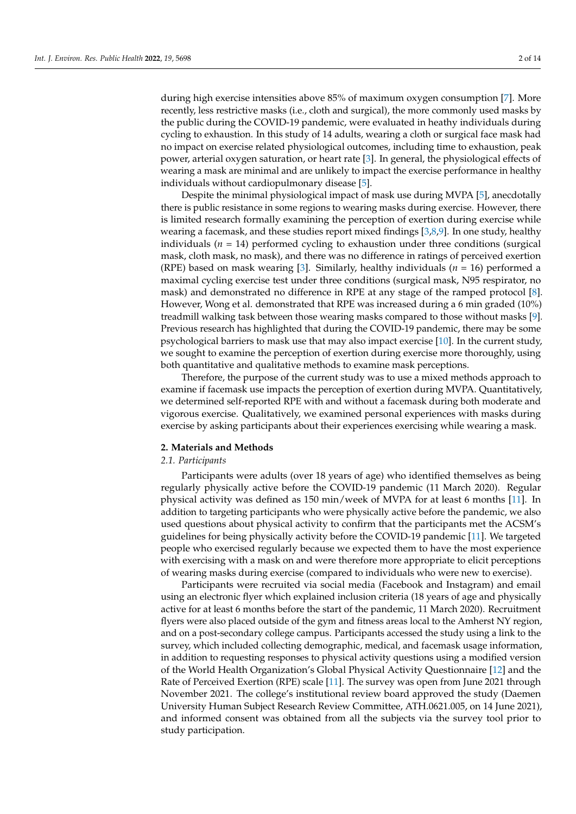during high exercise intensities above 85% of maximum oxygen consumption [\[7\]](#page-13-5). More recently, less restrictive masks (i.e., cloth and surgical), the more commonly used masks by the public during the COVID-19 pandemic, were evaluated in heathy individuals during cycling to exhaustion. In this study of 14 adults, wearing a cloth or surgical face mask had no impact on exercise related physiological outcomes, including time to exhaustion, peak power, arterial oxygen saturation, or heart rate [\[3\]](#page-13-2). In general, the physiological effects of wearing a mask are minimal and are unlikely to impact the exercise performance in healthy individuals without cardiopulmonary disease [\[5\]](#page-13-3).

Despite the minimal physiological impact of mask use during MVPA [\[5\]](#page-13-3), anecdotally there is public resistance in some regions to wearing masks during exercise. However, there is limited research formally examining the perception of exertion during exercise while wearing a facemask, and these studies report mixed findings [\[3,](#page-13-2)[8,](#page-13-6)[9\]](#page-13-7). In one study, healthy individuals  $(n = 14)$  performed cycling to exhaustion under three conditions (surgical mask, cloth mask, no mask), and there was no difference in ratings of perceived exertion (RPE) based on mask wearing [\[3\]](#page-13-2). Similarly, healthy individuals (*n* = 16) performed a maximal cycling exercise test under three conditions (surgical mask, N95 respirator, no mask) and demonstrated no difference in RPE at any stage of the ramped protocol [\[8\]](#page-13-6). However, Wong et al. demonstrated that RPE was increased during a 6 min graded (10%) treadmill walking task between those wearing masks compared to those without masks [\[9\]](#page-13-7). Previous research has highlighted that during the COVID-19 pandemic, there may be some psychological barriers to mask use that may also impact exercise [\[10\]](#page-14-0). In the current study, we sought to examine the perception of exertion during exercise more thoroughly, using both quantitative and qualitative methods to examine mask perceptions.

Therefore, the purpose of the current study was to use a mixed methods approach to examine if facemask use impacts the perception of exertion during MVPA. Quantitatively, we determined self-reported RPE with and without a facemask during both moderate and vigorous exercise. Qualitatively, we examined personal experiences with masks during exercise by asking participants about their experiences exercising while wearing a mask.

#### **2. Materials and Methods**

#### *2.1. Participants*

Participants were adults (over 18 years of age) who identified themselves as being regularly physically active before the COVID-19 pandemic (11 March 2020). Regular physical activity was defined as 150 min/week of MVPA for at least 6 months [\[11\]](#page-14-1). In addition to targeting participants who were physically active before the pandemic, we also used questions about physical activity to confirm that the participants met the ACSM's guidelines for being physically activity before the COVID-19 pandemic [\[11\]](#page-14-1). We targeted people who exercised regularly because we expected them to have the most experience with exercising with a mask on and were therefore more appropriate to elicit perceptions of wearing masks during exercise (compared to individuals who were new to exercise).

Participants were recruited via social media (Facebook and Instagram) and email using an electronic flyer which explained inclusion criteria (18 years of age and physically active for at least 6 months before the start of the pandemic, 11 March 2020). Recruitment flyers were also placed outside of the gym and fitness areas local to the Amherst NY region, and on a post-secondary college campus. Participants accessed the study using a link to the survey, which included collecting demographic, medical, and facemask usage information, in addition to requesting responses to physical activity questions using a modified version of the World Health Organization's Global Physical Activity Questionnaire [\[12\]](#page-14-2) and the Rate of Perceived Exertion (RPE) scale [\[11\]](#page-14-1). The survey was open from June 2021 through November 2021. The college's institutional review board approved the study (Daemen University Human Subject Research Review Committee, ATH.0621.005, on 14 June 2021), and informed consent was obtained from all the subjects via the survey tool prior to study participation.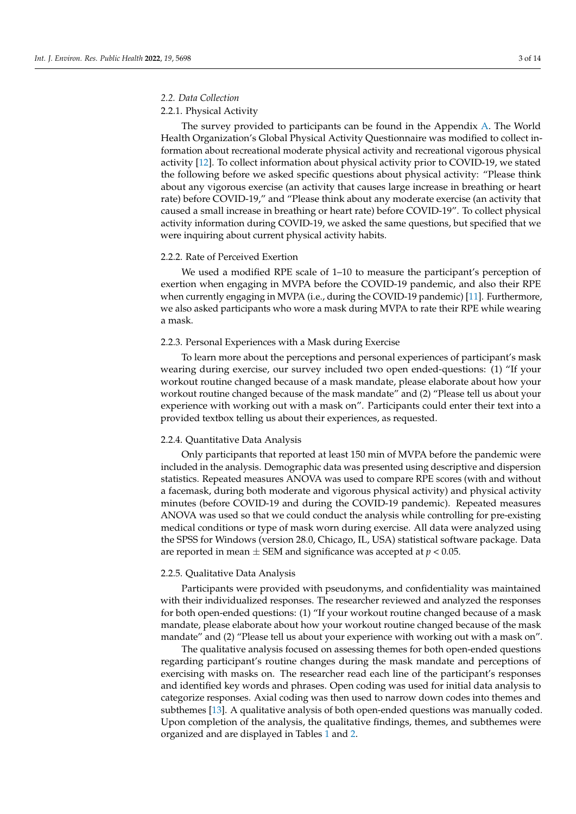## *2.2. Data Collection*

## 2.2.1. Physical Activity

The survey provided to participants can be found in the Appendix [A.](#page-10-0) The World Health Organization's Global Physical Activity Questionnaire was modified to collect information about recreational moderate physical activity and recreational vigorous physical activity [\[12\]](#page-14-2). To collect information about physical activity prior to COVID-19, we stated the following before we asked specific questions about physical activity: "Please think about any vigorous exercise (an activity that causes large increase in breathing or heart rate) before COVID-19," and "Please think about any moderate exercise (an activity that caused a small increase in breathing or heart rate) before COVID-19". To collect physical activity information during COVID-19, we asked the same questions, but specified that we were inquiring about current physical activity habits.

#### 2.2.2. Rate of Perceived Exertion

We used a modified RPE scale of 1–10 to measure the participant's perception of exertion when engaging in MVPA before the COVID-19 pandemic, and also their RPE when currently engaging in MVPA (i.e., during the COVID-19 pandemic) [\[11\]](#page-14-1). Furthermore, we also asked participants who wore a mask during MVPA to rate their RPE while wearing a mask.

#### 2.2.3. Personal Experiences with a Mask during Exercise

To learn more about the perceptions and personal experiences of participant's mask wearing during exercise, our survey included two open ended-questions: (1) "If your workout routine changed because of a mask mandate, please elaborate about how your workout routine changed because of the mask mandate" and (2) "Please tell us about your experience with working out with a mask on". Participants could enter their text into a provided textbox telling us about their experiences, as requested.

## 2.2.4. Quantitative Data Analysis

Only participants that reported at least 150 min of MVPA before the pandemic were included in the analysis. Demographic data was presented using descriptive and dispersion statistics. Repeated measures ANOVA was used to compare RPE scores (with and without a facemask, during both moderate and vigorous physical activity) and physical activity minutes (before COVID-19 and during the COVID-19 pandemic). Repeated measures ANOVA was used so that we could conduct the analysis while controlling for pre-existing medical conditions or type of mask worn during exercise. All data were analyzed using the SPSS for Windows (version 28.0, Chicago, IL, USA) statistical software package. Data are reported in mean  $\pm$  SEM and significance was accepted at  $p < 0.05$ .

#### 2.2.5. Qualitative Data Analysis

Participants were provided with pseudonyms, and confidentiality was maintained with their individualized responses. The researcher reviewed and analyzed the responses for both open-ended questions: (1) "If your workout routine changed because of a mask mandate, please elaborate about how your workout routine changed because of the mask mandate" and (2) "Please tell us about your experience with working out with a mask on".

The qualitative analysis focused on assessing themes for both open-ended questions regarding participant's routine changes during the mask mandate and perceptions of exercising with masks on. The researcher read each line of the participant's responses and identified key words and phrases. Open coding was used for initial data analysis to categorize responses. Axial coding was then used to narrow down codes into themes and subthemes [\[13\]](#page-14-3). A qualitative analysis of both open-ended questions was manually coded. Upon completion of the analysis, the qualitative findings, themes, and subthemes were organized and are displayed in Tables [1](#page-4-0) and [2.](#page-4-1)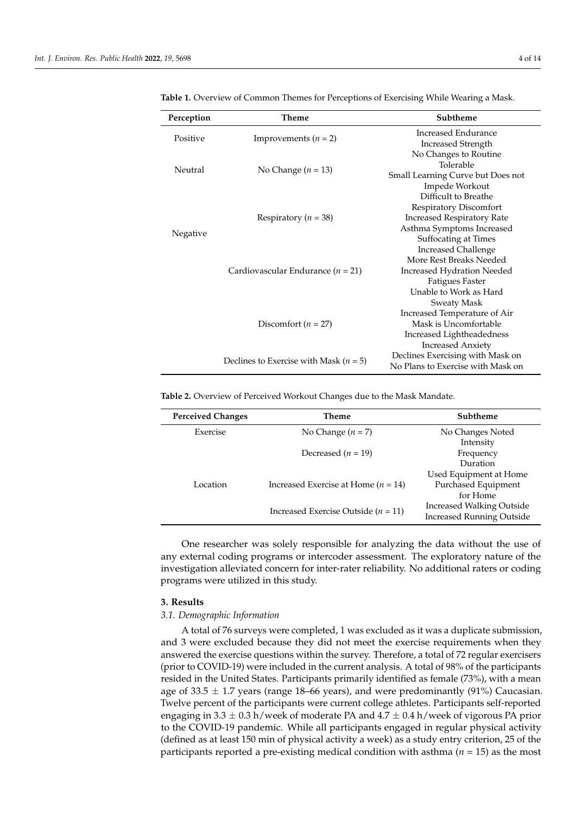| Perception | Theme                                      | Subtheme                          |
|------------|--------------------------------------------|-----------------------------------|
| Positive   | Improvements $(n = 2)$                     | Increased Endurance               |
|            |                                            | <b>Increased Strength</b>         |
| Neutral    | No Change ( $n = 13$ )                     | No Changes to Routine             |
|            |                                            | Tolerable                         |
|            |                                            | Small Learning Curve but Does not |
|            |                                            | Impede Workout                    |
| Negative   | Respiratory ( $n = 38$ )                   | Difficult to Breathe              |
|            |                                            | Respiratory Discomfort            |
|            |                                            | <b>Increased Respiratory Rate</b> |
|            |                                            | Asthma Symptoms Increased         |
|            |                                            | <b>Suffocating at Times</b>       |
|            | Cardiovascular Endurance ( $n = 21$ )      | <b>Increased Challenge</b>        |
|            |                                            | More Rest Breaks Needed           |
|            |                                            | <b>Increased Hydration Needed</b> |
|            |                                            | <b>Fatigues Faster</b>            |
|            |                                            | Unable to Work as Hard            |
|            | Discomfort ( $n = 27$ )                    | Sweaty Mask                       |
|            |                                            | Increased Temperature of Air      |
|            |                                            | Mask is Uncomfortable             |
|            |                                            | Increased Lightheadedness         |
|            |                                            | <b>Increased Anxiety</b>          |
|            |                                            | Declines Exercising with Mask on  |
|            | Declines to Exercise with Mask ( $n = 5$ ) | No Plans to Exercise with Mask on |

<span id="page-4-0"></span>**Table 1.** Overview of Common Themes for Perceptions of Exercising While Wearing a Mask.

<span id="page-4-1"></span>**Table 2.** Overview of Perceived Workout Changes due to the Mask Mandate.

| <b>Perceived Changes</b> | Theme                                   | Subtheme                         |
|--------------------------|-----------------------------------------|----------------------------------|
| Exercise                 | No Change $(n = 7)$                     | No Changes Noted                 |
|                          |                                         | Intensity                        |
|                          | Decreased $(n = 19)$                    | Frequency                        |
|                          |                                         | Duration                         |
|                          |                                         | Used Equipment at Home           |
| Location                 | Increased Exercise at Home $(n = 14)$   | Purchased Equipment              |
|                          |                                         | for Home                         |
|                          | Increased Exercise Outside ( $n = 11$ ) | <b>Increased Walking Outside</b> |
|                          |                                         | <b>Increased Running Outside</b> |
|                          |                                         |                                  |

One researcher was solely responsible for analyzing the data without the use of any external coding programs or intercoder assessment. The exploratory nature of the investigation alleviated concern for inter-rater reliability. No additional raters or coding programs were utilized in this study.

#### **3. Results**

#### *3.1. Demographic Information*

A total of 76 surveys were completed, 1 was excluded as it was a duplicate submission, and 3 were excluded because they did not meet the exercise requirements when they answered the exercise questions within the survey. Therefore, a total of 72 regular exercisers (prior to COVID-19) were included in the current analysis. A total of 98% of the participants resided in the United States. Participants primarily identified as female (73%), with a mean age of 33.5  $\pm$  1.7 years (range 18–66 years), and were predominantly (91%) Caucasian. Twelve percent of the participants were current college athletes. Participants self-reported engaging in  $3.3 \pm 0.3$  h/week of moderate PA and  $4.7 \pm 0.4$  h/week of vigorous PA prior to the COVID-19 pandemic. While all participants engaged in regular physical activity (defined as at least 150 min of physical activity a week) as a study entry criterion, 25 of the participants reported a pre-existing medical condition with asthma (*n* = 15) as the most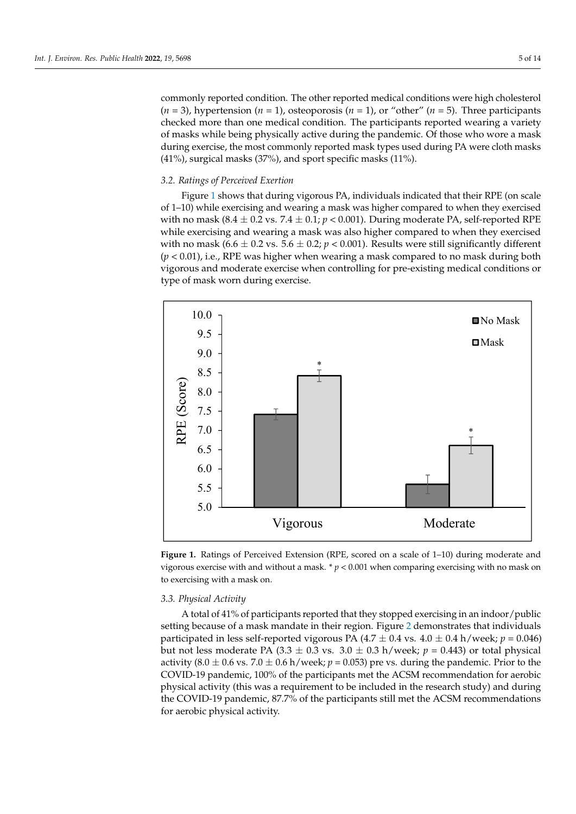commonly reported condition. The other reported medical conditions were high cholesterol  $(n = 3)$ , hypertension  $(n = 1)$ , osteoporosis  $(n = 1)$ , or "other"  $(n = 5)$ . Three participants checked more than one medical condition. The participants reported wearing a variety of masks while being physically active during the pandemic. Of those who wore a mask during exercise, the most commonly reported mask types used during PA were cloth masks (41%), surgical masks (37%), and sport specific masks (11%).

activity (defined as at least 150 min of physical activity a week) as a study entry criterion, and the study e

## *3.2. Ratings of Perceived Exertion 3.2. Ratings of Perceived Exertion*

Figure 1 shows that during vigorous PA, individuals indicated that their RPE (on scale Figur[e 1](#page-5-0) shows that during vigorous PA, individuals indicated that their RPE (on of 1–10) while exercising and wearing a mask was higher compared to when they exercised with no mask (8.4  $\pm$  0.2 vs. 7.4  $\pm$  0.1;  $p$  < 0.001). During moderate PA, self-reported RPE while exercising and wearing a mask was also higher compared to when they exercised with no mask (6.6  $\pm$  0.2 vs. 5.6  $\pm$  0.2;  $p$  < 0.001). Results were still significantly different (*p* < 0.01), i.e., RPE was higher when wearing a mask compared to no mask during both (*p* < 0.01), i.e., RPE was higher when wearing a mask compared to no mask during both vigorous and moderate exercise when controlling for pre-existing medical conditions or vigorous and moderate exercise when controlling for pre-existing medical conditions or type of mask worn during exercise. type of mask worn during exercise.

<span id="page-5-0"></span>

Figure 1. Ratings of Perceived Extension (RPE, scored on a scale of 1-10) during moderate and vigorous exercise with and without a mask.  $* p < 0.001$  when comparing exercising with no mask on exercising with a mask on. to exercising with a mask on.

#### *3.3. Physical Activity*

A total of 41% of participants reported that they stopped exercising in an indoor/public setting because of a mask mandate in their region. Figure [2](#page-6-0) demonstrates that individuals participated in less self-reported vigorous PA  $(4.7 \pm 0.4 \text{ vs. } 4.0 \pm 0.4 \text{ h/week}; p = 0.046)$ but not less moderate PA  $(3.3 \pm 0.3 \text{ vs. } 3.0 \pm 0.3 \text{ h/week}; p = 0.443)$  or total physical activity (8.0  $\pm$  0.6 vs. 7.0  $\pm$  0.6 h/week; *p* = 0.053) pre vs. during the pandemic. Prior to the COVID-19 pandemic, 100% of the participants met the ACSM recommendation for aerobic physical activity (this was a requirement to be included in the research study) and during the COVID-19 pandemic, 87.7% of the participants still met the ACSM recommendations for aerobic physical activity.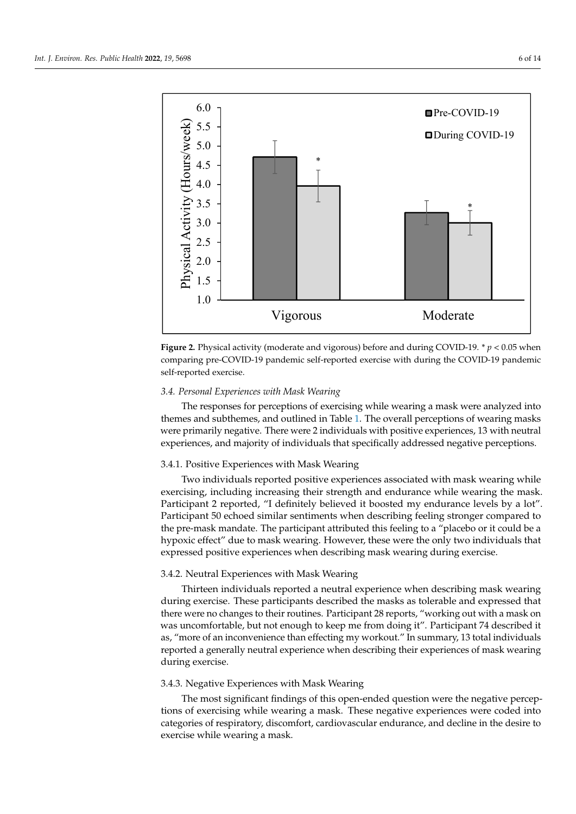<span id="page-6-0"></span>



## *3.4. Personal Experiences with Mask Wearing 3.4. Personal Experiences with Mask Wearing*

The responses for perceptions of exercising while wearing a mask were analyzed into The responses for perceptions of exercising while wearing a mask were analyzed into themes and subthemes, and outlined in Tabl[e 1](#page-4-0). The overall perceptions of wearing masks themes and subthemes, and outlined in Table 1. The overall perceptions of wearing masks were primarily negative. There were 2 individuals with positive experiences, 13 with neutral experiences, and majority of individuals that specifically addressed negative perceptions.

#### $\overline{\phantom{a}}$ 3.4.1. Positive Experiences with Mask Wearing

Two individuals reported positive experiences associated with mask wearing while exercising, including increasing their strength and endurance while wearing the mask. Participant 2 reported, "I definitely believed it boosted my endurance levels by a lot".<br>Participant 2 reported, "I definitely believed it boosted my endurance levels by a lot". Participant 50 echoed similar sentiments when describing feeling stronger compared to the pre-mask mandate. The participant attributed this feeling to a "placebo or it could be a<br>https://www.compared to a control of a control of a control of a control of a control of a control of a control of a control of a hypoxic effect" due to mask wearing. However, these were the only two individuals that expressed positive experiences when describing mask wearing during exercise.

## 3.4.2. Neutral Experiences with Mask Wearing

Thirteen individuals reported a neutral experience when describing mask wearing there were no changes to their routines. Participant 28 reports, "working out with a mask on was uncomfortable, but not enough to keep me from doing it". Participant 74 described it during exercise. These participants described the masks as tolerable and expressed that as, "more of an inconvenience than effecting my workout." In summary, 13 total individuals reported a generally neutral experience when describing their experiences of mask wearing during exercise.

#### 3.4.3. Negative Experiences with Mask Wearing

The most significant findings of this open-ended question were the negative perceptions of exercising while wearing a mask. These negative experiences were coded into categories of respiratory, discomfort, cardiovascular endurance, and decline in the desire to exercise while wearing a mask.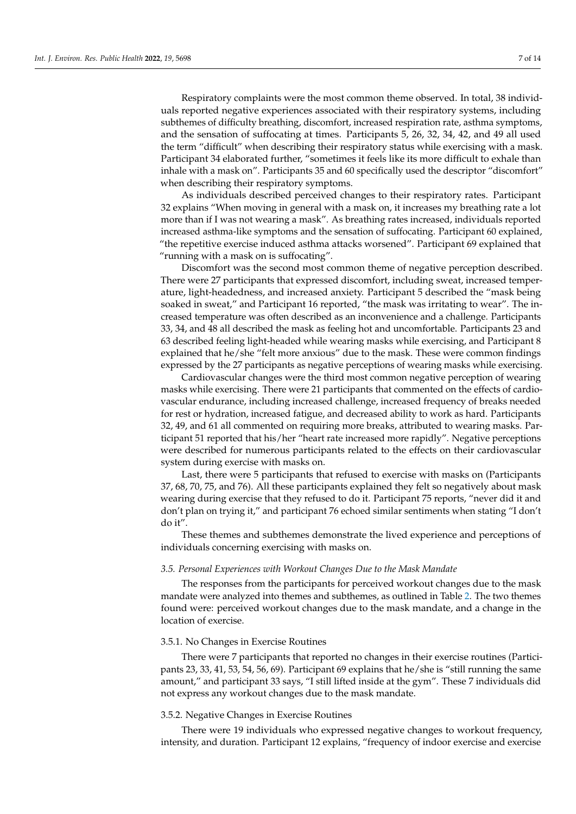Respiratory complaints were the most common theme observed. In total, 38 individuals reported negative experiences associated with their respiratory systems, including subthemes of difficulty breathing, discomfort, increased respiration rate, asthma symptoms, and the sensation of suffocating at times. Participants 5, 26, 32, 34, 42, and 49 all used the term "difficult" when describing their respiratory status while exercising with a mask. Participant 34 elaborated further, "sometimes it feels like its more difficult to exhale than inhale with a mask on". Participants 35 and 60 specifically used the descriptor "discomfort" when describing their respiratory symptoms.

As individuals described perceived changes to their respiratory rates. Participant 32 explains "When moving in general with a mask on, it increases my breathing rate a lot more than if I was not wearing a mask". As breathing rates increased, individuals reported increased asthma-like symptoms and the sensation of suffocating. Participant 60 explained, "the repetitive exercise induced asthma attacks worsened". Participant 69 explained that "running with a mask on is suffocating".

Discomfort was the second most common theme of negative perception described. There were 27 participants that expressed discomfort, including sweat, increased temperature, light-headedness, and increased anxiety. Participant 5 described the "mask being soaked in sweat," and Participant 16 reported, "the mask was irritating to wear". The increased temperature was often described as an inconvenience and a challenge. Participants 33, 34, and 48 all described the mask as feeling hot and uncomfortable. Participants 23 and 63 described feeling light-headed while wearing masks while exercising, and Participant 8 explained that he/she "felt more anxious" due to the mask. These were common findings expressed by the 27 participants as negative perceptions of wearing masks while exercising.

Cardiovascular changes were the third most common negative perception of wearing masks while exercising. There were 21 participants that commented on the effects of cardiovascular endurance, including increased challenge, increased frequency of breaks needed for rest or hydration, increased fatigue, and decreased ability to work as hard. Participants 32, 49, and 61 all commented on requiring more breaks, attributed to wearing masks. Participant 51 reported that his/her "heart rate increased more rapidly". Negative perceptions were described for numerous participants related to the effects on their cardiovascular system during exercise with masks on.

Last, there were 5 participants that refused to exercise with masks on (Participants 37, 68, 70, 75, and 76). All these participants explained they felt so negatively about mask wearing during exercise that they refused to do it. Participant 75 reports, "never did it and don't plan on trying it," and participant 76 echoed similar sentiments when stating "I don't do it".

These themes and subthemes demonstrate the lived experience and perceptions of individuals concerning exercising with masks on.

#### *3.5. Personal Experiences with Workout Changes Due to the Mask Mandate*

The responses from the participants for perceived workout changes due to the mask mandate were analyzed into themes and subthemes, as outlined in Table [2.](#page-4-1) The two themes found were: perceived workout changes due to the mask mandate, and a change in the location of exercise.

#### 3.5.1. No Changes in Exercise Routines

There were 7 participants that reported no changes in their exercise routines (Participants 23, 33, 41, 53, 54, 56, 69). Participant 69 explains that he/she is "still running the same amount," and participant 33 says, "I still lifted inside at the gym". These 7 individuals did not express any workout changes due to the mask mandate.

#### 3.5.2. Negative Changes in Exercise Routines

There were 19 individuals who expressed negative changes to workout frequency, intensity, and duration. Participant 12 explains, "frequency of indoor exercise and exercise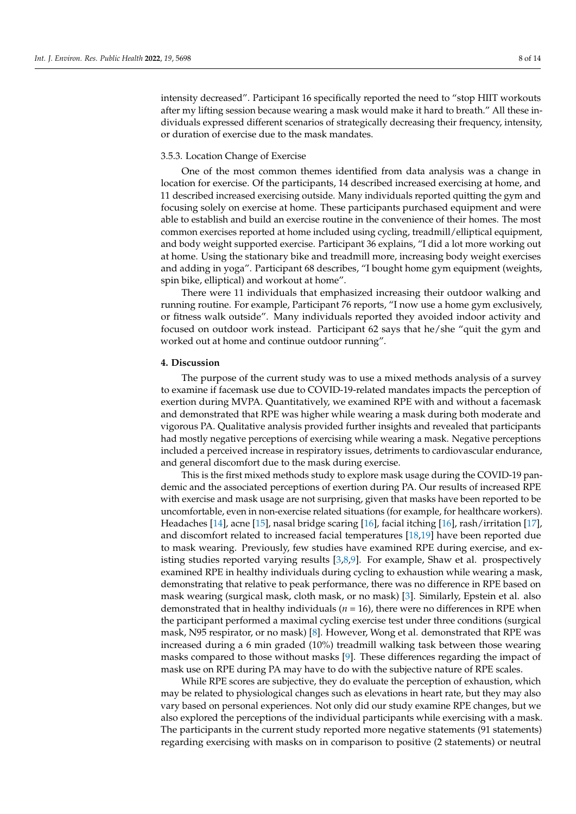intensity decreased". Participant 16 specifically reported the need to "stop HIIT workouts after my lifting session because wearing a mask would make it hard to breath." All these individuals expressed different scenarios of strategically decreasing their frequency, intensity, or duration of exercise due to the mask mandates.

#### 3.5.3. Location Change of Exercise

One of the most common themes identified from data analysis was a change in location for exercise. Of the participants, 14 described increased exercising at home, and 11 described increased exercising outside. Many individuals reported quitting the gym and focusing solely on exercise at home. These participants purchased equipment and were able to establish and build an exercise routine in the convenience of their homes. The most common exercises reported at home included using cycling, treadmill/elliptical equipment, and body weight supported exercise. Participant 36 explains, "I did a lot more working out at home. Using the stationary bike and treadmill more, increasing body weight exercises and adding in yoga". Participant 68 describes, "I bought home gym equipment (weights, spin bike, elliptical) and workout at home".

There were 11 individuals that emphasized increasing their outdoor walking and running routine. For example, Participant 76 reports, "I now use a home gym exclusively, or fitness walk outside". Many individuals reported they avoided indoor activity and focused on outdoor work instead. Participant 62 says that he/she "quit the gym and worked out at home and continue outdoor running".

#### **4. Discussion**

The purpose of the current study was to use a mixed methods analysis of a survey to examine if facemask use due to COVID-19-related mandates impacts the perception of exertion during MVPA. Quantitatively, we examined RPE with and without a facemask and demonstrated that RPE was higher while wearing a mask during both moderate and vigorous PA. Qualitative analysis provided further insights and revealed that participants had mostly negative perceptions of exercising while wearing a mask. Negative perceptions included a perceived increase in respiratory issues, detriments to cardiovascular endurance, and general discomfort due to the mask during exercise.

This is the first mixed methods study to explore mask usage during the COVID-19 pandemic and the associated perceptions of exertion during PA. Our results of increased RPE with exercise and mask usage are not surprising, given that masks have been reported to be uncomfortable, even in non-exercise related situations (for example, for healthcare workers). Headaches [\[14\]](#page-14-4), acne [\[15\]](#page-14-5), nasal bridge scaring [\[16\]](#page-14-6), facial itching [\[16\]](#page-14-6), rash/irritation [\[17\]](#page-14-7), and discomfort related to increased facial temperatures [\[18,](#page-14-8)[19\]](#page-14-9) have been reported due to mask wearing. Previously, few studies have examined RPE during exercise, and existing studies reported varying results [\[3,](#page-13-2)[8,](#page-13-6)[9\]](#page-13-7). For example, Shaw et al. prospectively examined RPE in healthy individuals during cycling to exhaustion while wearing a mask, demonstrating that relative to peak performance, there was no difference in RPE based on mask wearing (surgical mask, cloth mask, or no mask) [\[3\]](#page-13-2). Similarly, Epstein et al. also demonstrated that in healthy individuals (*n* = 16), there were no differences in RPE when the participant performed a maximal cycling exercise test under three conditions (surgical mask, N95 respirator, or no mask) [\[8\]](#page-13-6). However, Wong et al. demonstrated that RPE was increased during a 6 min graded (10%) treadmill walking task between those wearing masks compared to those without masks [\[9\]](#page-13-7). These differences regarding the impact of mask use on RPE during PA may have to do with the subjective nature of RPE scales.

While RPE scores are subjective, they do evaluate the perception of exhaustion, which may be related to physiological changes such as elevations in heart rate, but they may also vary based on personal experiences. Not only did our study examine RPE changes, but we also explored the perceptions of the individual participants while exercising with a mask. The participants in the current study reported more negative statements (91 statements) regarding exercising with masks on in comparison to positive (2 statements) or neutral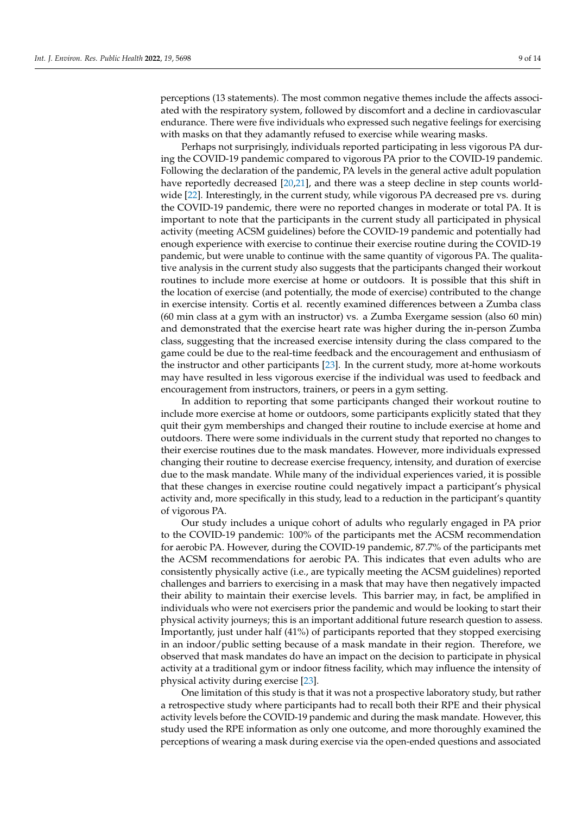perceptions (13 statements). The most common negative themes include the affects associated with the respiratory system, followed by discomfort and a decline in cardiovascular endurance. There were five individuals who expressed such negative feelings for exercising with masks on that they adamantly refused to exercise while wearing masks.

Perhaps not surprisingly, individuals reported participating in less vigorous PA during the COVID-19 pandemic compared to vigorous PA prior to the COVID-19 pandemic. Following the declaration of the pandemic, PA levels in the general active adult population have reportedly decreased [\[20](#page-14-10)[,21\]](#page-14-11), and there was a steep decline in step counts worldwide [\[22\]](#page-14-12). Interestingly, in the current study, while vigorous PA decreased pre vs. during the COVID-19 pandemic, there were no reported changes in moderate or total PA. It is important to note that the participants in the current study all participated in physical activity (meeting ACSM guidelines) before the COVID-19 pandemic and potentially had enough experience with exercise to continue their exercise routine during the COVID-19 pandemic, but were unable to continue with the same quantity of vigorous PA. The qualitative analysis in the current study also suggests that the participants changed their workout routines to include more exercise at home or outdoors. It is possible that this shift in the location of exercise (and potentially, the mode of exercise) contributed to the change in exercise intensity. Cortis et al. recently examined differences between a Zumba class (60 min class at a gym with an instructor) vs. a Zumba Exergame session (also 60 min) and demonstrated that the exercise heart rate was higher during the in-person Zumba class, suggesting that the increased exercise intensity during the class compared to the game could be due to the real-time feedback and the encouragement and enthusiasm of the instructor and other participants [\[23\]](#page-14-13). In the current study, more at-home workouts may have resulted in less vigorous exercise if the individual was used to feedback and encouragement from instructors, trainers, or peers in a gym setting.

In addition to reporting that some participants changed their workout routine to include more exercise at home or outdoors, some participants explicitly stated that they quit their gym memberships and changed their routine to include exercise at home and outdoors. There were some individuals in the current study that reported no changes to their exercise routines due to the mask mandates. However, more individuals expressed changing their routine to decrease exercise frequency, intensity, and duration of exercise due to the mask mandate. While many of the individual experiences varied, it is possible that these changes in exercise routine could negatively impact a participant's physical activity and, more specifically in this study, lead to a reduction in the participant's quantity of vigorous PA.

Our study includes a unique cohort of adults who regularly engaged in PA prior to the COVID-19 pandemic: 100% of the participants met the ACSM recommendation for aerobic PA. However, during the COVID-19 pandemic, 87.7% of the participants met the ACSM recommendations for aerobic PA. This indicates that even adults who are consistently physically active (i.e., are typically meeting the ACSM guidelines) reported challenges and barriers to exercising in a mask that may have then negatively impacted their ability to maintain their exercise levels. This barrier may, in fact, be amplified in individuals who were not exercisers prior the pandemic and would be looking to start their physical activity journeys; this is an important additional future research question to assess. Importantly, just under half (41%) of participants reported that they stopped exercising in an indoor/public setting because of a mask mandate in their region. Therefore, we observed that mask mandates do have an impact on the decision to participate in physical activity at a traditional gym or indoor fitness facility, which may influence the intensity of physical activity during exercise [\[23\]](#page-14-13).

One limitation of this study is that it was not a prospective laboratory study, but rather a retrospective study where participants had to recall both their RPE and their physical activity levels before the COVID-19 pandemic and during the mask mandate. However, this study used the RPE information as only one outcome, and more thoroughly examined the perceptions of wearing a mask during exercise via the open-ended questions and associated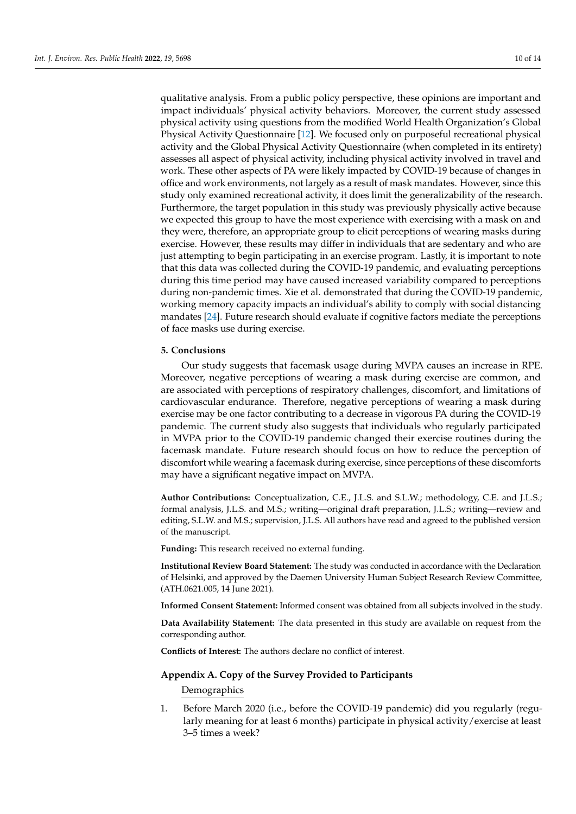qualitative analysis. From a public policy perspective, these opinions are important and impact individuals' physical activity behaviors. Moreover, the current study assessed physical activity using questions from the modified World Health Organization's Global Physical Activity Questionnaire [\[12\]](#page-14-2). We focused only on purposeful recreational physical activity and the Global Physical Activity Questionnaire (when completed in its entirety) assesses all aspect of physical activity, including physical activity involved in travel and work. These other aspects of PA were likely impacted by COVID-19 because of changes in office and work environments, not largely as a result of mask mandates. However, since this study only examined recreational activity, it does limit the generalizability of the research. Furthermore, the target population in this study was previously physically active because we expected this group to have the most experience with exercising with a mask on and they were, therefore, an appropriate group to elicit perceptions of wearing masks during exercise. However, these results may differ in individuals that are sedentary and who are just attempting to begin participating in an exercise program. Lastly, it is important to note that this data was collected during the COVID-19 pandemic, and evaluating perceptions during this time period may have caused increased variability compared to perceptions during non-pandemic times. Xie et al. demonstrated that during the COVID-19 pandemic, working memory capacity impacts an individual's ability to comply with social distancing mandates [\[24\]](#page-14-14). Future research should evaluate if cognitive factors mediate the perceptions of face masks use during exercise.

#### **5. Conclusions**

Our study suggests that facemask usage during MVPA causes an increase in RPE. Moreover, negative perceptions of wearing a mask during exercise are common, and are associated with perceptions of respiratory challenges, discomfort, and limitations of cardiovascular endurance. Therefore, negative perceptions of wearing a mask during exercise may be one factor contributing to a decrease in vigorous PA during the COVID-19 pandemic. The current study also suggests that individuals who regularly participated in MVPA prior to the COVID-19 pandemic changed their exercise routines during the facemask mandate. Future research should focus on how to reduce the perception of discomfort while wearing a facemask during exercise, since perceptions of these discomforts may have a significant negative impact on MVPA.

**Author Contributions:** Conceptualization, C.E., J.L.S. and S.L.W.; methodology, C.E. and J.L.S.; formal analysis, J.L.S. and M.S.; writing—original draft preparation, J.L.S.; writing—review and editing, S.L.W. and M.S.; supervision, J.L.S. All authors have read and agreed to the published version of the manuscript.

**Funding:** This research received no external funding.

**Institutional Review Board Statement:** The study was conducted in accordance with the Declaration of Helsinki, and approved by the Daemen University Human Subject Research Review Committee, (ATH.0621.005, 14 June 2021).

**Informed Consent Statement:** Informed consent was obtained from all subjects involved in the study.

**Data Availability Statement:** The data presented in this study are available on request from the corresponding author.

**Conflicts of Interest:** The authors declare no conflict of interest.

#### <span id="page-10-0"></span>**Appendix A. Copy of the Survey Provided to Participants**

Demographics

1. Before March 2020 (i.e., before the COVID-19 pandemic) did you regularly (regularly meaning for at least 6 months) participate in physical activity/exercise at least 3–5 times a week?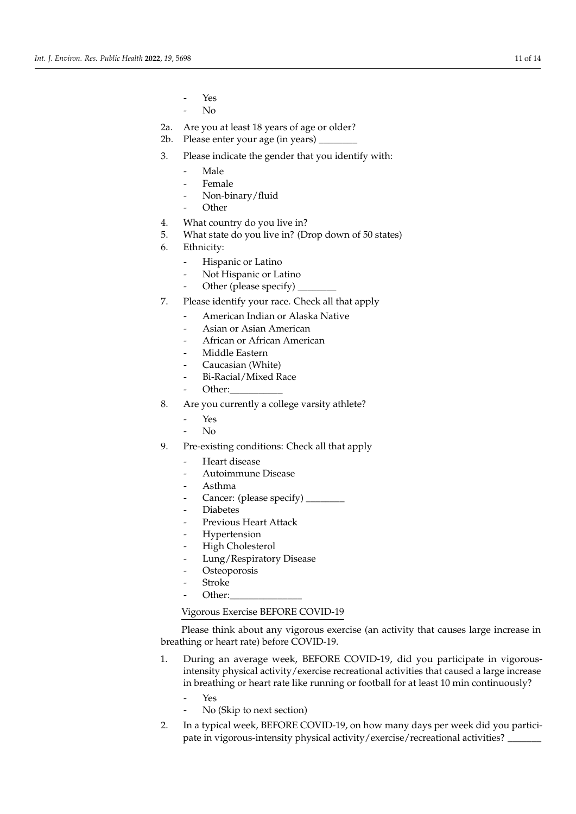- Yes
- No
- 2a. Are you at least 18 years of age or older?
- 2b. Please enter your age (in years)
- 3. Please indicate the gender that you identify with:
	- Male
	- **Female**
	- Non-binary/fluid
	- **Other**
- 4. What country do you live in?
- 5. What state do you live in? (Drop down of 50 states)
- 6. Ethnicity:
	- Hispanic or Latino
	- Not Hispanic or Latino
	- Other (please specify) \_
- 7. Please identify your race. Check all that apply
	- American Indian or Alaska Native
	- Asian or Asian American
	- African or African American
	- Middle Eastern
	- Caucasian (White)
	- Bi-Racial/Mixed Race
	- Other:
- 8. Are you currently a college varsity athlete?
	- Yes
	- N<sub>o</sub>
- 9. Pre-existing conditions: Check all that apply
	- Heart disease
	- Autoimmune Disease
	- Asthma
	- Cancer: (please specify) \_\_\_\_\_\_\_\_
	- **Diabetes**
	- Previous Heart Attack
	- **Hypertension**
	- High Cholesterol
	- Lung/Respiratory Disease
	- Osteoporosis
	- **Stroke**
	- Other:

#### Vigorous Exercise BEFORE COVID-19

Please think about any vigorous exercise (an activity that causes large increase in breathing or heart rate) before COVID-19.

- 1. During an average week, BEFORE COVID-19, did you participate in vigorousintensity physical activity/exercise recreational activities that caused a large increase in breathing or heart rate like running or football for at least 10 min continuously?
	- Yes
	- No (Skip to next section)
- 2. In a typical week, BEFORE COVID-19, on how many days per week did you participate in vigorous-intensity physical activity/exercise/recreational activities? \_\_\_\_\_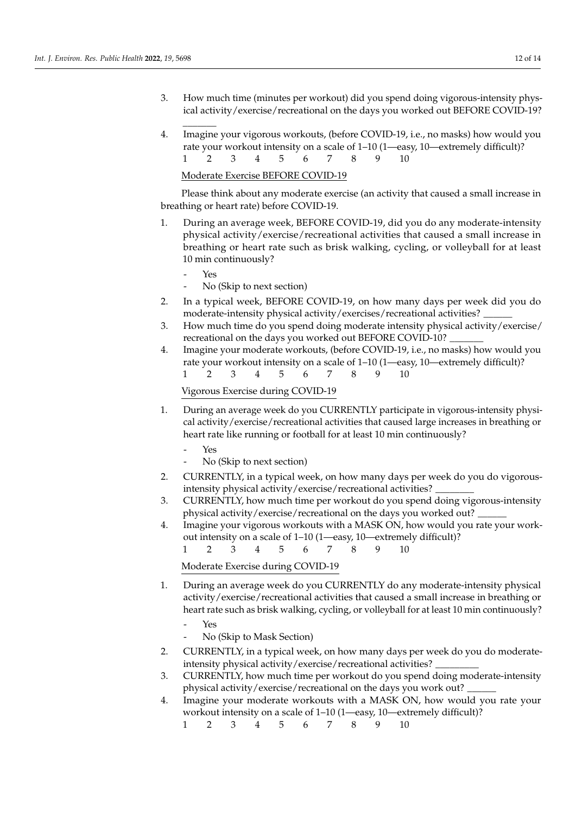- 3. How much time (minutes per workout) did you spend doing vigorous-intensity physical activity/exercise/recreational on the days you worked out BEFORE COVID-19?
- 4. Imagine your vigorous workouts, (before COVID-19, i.e., no masks) how would you rate your workout intensity on a scale of 1–10 (1—easy, 10—extremely difficult)? 1 2 3 4 5 6 7 8 9 10

#### Moderate Exercise BEFORE COVID-19

Please think about any moderate exercise (an activity that caused a small increase in breathing or heart rate) before COVID-19.

- 1. During an average week, BEFORE COVID-19, did you do any moderate-intensity physical activity/exercise/recreational activities that caused a small increase in breathing or heart rate such as brisk walking, cycling, or volleyball for at least 10 min continuously?
	- Yes

\_\_\_\_\_\_\_

- No (Skip to next section)
- 2. In a typical week, BEFORE COVID-19, on how many days per week did you do moderate-intensity physical activity/exercises/recreational activities? \_\_\_\_\_\_
- 3. How much time do you spend doing moderate intensity physical activity/exercise/ recreational on the days you worked out BEFORE COVID-10?
- 4. Imagine your moderate workouts, (before COVID-19, i.e., no masks) how would you rate your workout intensity on a scale of 1–10 (1—easy, 10—extremely difficult)? 1 2 3 4 5 6 7 8 9 10

### Vigorous Exercise during COVID-19

- 1. During an average week do you CURRENTLY participate in vigorous-intensity physical activity/exercise/recreational activities that caused large increases in breathing or heart rate like running or football for at least 10 min continuously?
	- Yes
	- No (Skip to next section)
- 2. CURRENTLY, in a typical week, on how many days per week do you do vigorousintensity physical activity/exercise/recreational activities? \_\_\_\_\_\_\_\_
- 3. CURRENTLY, how much time per workout do you spend doing vigorous-intensity physical activity/exercise/recreational on the days you worked out? \_\_\_\_\_\_
- 4. Imagine your vigorous workouts with a MASK ON, how would you rate your workout intensity on a scale of 1–10 (1—easy, 10—extremely difficult)?
	- 1 2 3 4 5 6 7 8 9 10

Moderate Exercise during COVID-19

- 1. During an average week do you CURRENTLY do any moderate-intensity physical activity/exercise/recreational activities that caused a small increase in breathing or heart rate such as brisk walking, cycling, or volleyball for at least 10 min continuously?
	- Yes
	- No (Skip to Mask Section)
- 2. CURRENTLY, in a typical week, on how many days per week do you do moderateintensity physical activity/exercise/recreational activities? \_\_\_\_\_\_\_\_\_
- 3. CURRENTLY, how much time per workout do you spend doing moderate-intensity physical activity/exercise/recreational on the days you work out?
- 4. Imagine your moderate workouts with a MASK ON, how would you rate your workout intensity on a scale of 1–10 (1—easy, 10—extremely difficult)?
	- 1 2 3 4 5 6 7 8 9 10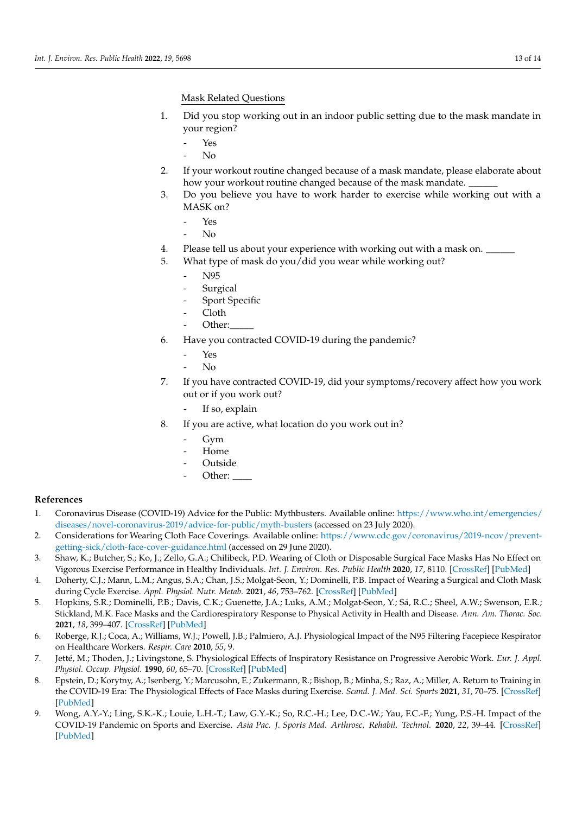Mask Related Questions

- 1. Did you stop working out in an indoor public setting due to the mask mandate in your region?
	- Yes
		- $N<sub>0</sub>$
- 2. If your workout routine changed because of a mask mandate, please elaborate about how your workout routine changed because of the mask mandate.
- 3. Do you believe you have to work harder to exercise while working out with a MASK on?
	- Yes
	- $\overline{\text{No}}$
- 4. Please tell us about your experience with working out with a mask on.
- 5. What type of mask do you/did you wear while working out?
	- N95
	- **Surgical**
	- Sport Specific
	- Cloth
	- Other:
- 6. Have you contracted COVID-19 during the pandemic?
	- Yes
	- $\overline{\text{No}}$
- 7. If you have contracted COVID-19, did your symptoms/recovery affect how you work out or if you work out?
	- If so, explain
- 8. If you are active, what location do you work out in?
	- Gym
	- Home
	- **Outside**
	- Other:

## **References**

- <span id="page-13-0"></span>1. Coronavirus Disease (COVID-19) Advice for the Public: Mythbusters. Available online: [https://www.who.int/emergencies/](https://www.who.int/emergencies/diseases/novel-coronavirus-2019/advice-for-public/myth-busters) [diseases/novel-coronavirus-2019/advice-for-public/myth-busters](https://www.who.int/emergencies/diseases/novel-coronavirus-2019/advice-for-public/myth-busters) (accessed on 23 July 2020).
- <span id="page-13-1"></span>2. Considerations for Wearing Cloth Face Coverings. Available online: [https://www.cdc.gov/coronavirus/2019-ncov/prevent](https://www.cdc.gov/coronavirus/2019-ncov/prevent-getting-sick/cloth-face-cover-guidance.html)[getting-sick/cloth-face-cover-guidance.html](https://www.cdc.gov/coronavirus/2019-ncov/prevent-getting-sick/cloth-face-cover-guidance.html) (accessed on 29 June 2020).
- <span id="page-13-2"></span>3. Shaw, K.; Butcher, S.; Ko, J.; Zello, G.A.; Chilibeck, P.D. Wearing of Cloth or Disposable Surgical Face Masks Has No Effect on Vigorous Exercise Performance in Healthy Individuals. *Int. J. Environ. Res. Public Health* **2020**, *17*, 8110. [\[CrossRef\]](http://doi.org/10.3390/ijerph17218110) [\[PubMed\]](http://www.ncbi.nlm.nih.gov/pubmed/33153145)
- 4. Doherty, C.J.; Mann, L.M.; Angus, S.A.; Chan, J.S.; Molgat-Seon, Y.; Dominelli, P.B. Impact of Wearing a Surgical and Cloth Mask during Cycle Exercise. *Appl. Physiol. Nutr. Metab.* **2021**, *46*, 753–762. [\[CrossRef\]](http://doi.org/10.1139/apnm-2021-0190) [\[PubMed\]](http://www.ncbi.nlm.nih.gov/pubmed/33960846)
- <span id="page-13-3"></span>5. Hopkins, S.R.; Dominelli, P.B.; Davis, C.K.; Guenette, J.A.; Luks, A.M.; Molgat-Seon, Y.; Sá, R.C.; Sheel, A.W.; Swenson, E.R.; Stickland, M.K. Face Masks and the Cardiorespiratory Response to Physical Activity in Health and Disease. *Ann. Am. Thorac. Soc.* **2021**, *18*, 399–407. [\[CrossRef\]](http://doi.org/10.1513/AnnalsATS.202008-990CME) [\[PubMed\]](http://www.ncbi.nlm.nih.gov/pubmed/33196294)
- <span id="page-13-4"></span>6. Roberge, R.J.; Coca, A.; Williams, W.J.; Powell, J.B.; Palmiero, A.J. Physiological Impact of the N95 Filtering Facepiece Respirator on Healthcare Workers. *Respir. Care* **2010**, *55*, 9.
- <span id="page-13-5"></span>7. Jetté, M.; Thoden, J.; Livingstone, S. Physiological Effects of Inspiratory Resistance on Progressive Aerobic Work. *Eur. J. Appl. Physiol. Occup. Physiol.* **1990**, *60*, 65–70. [\[CrossRef\]](http://doi.org/10.1007/BF00572188) [\[PubMed\]](http://www.ncbi.nlm.nih.gov/pubmed/2311597)
- <span id="page-13-6"></span>8. Epstein, D.; Korytny, A.; Isenberg, Y.; Marcusohn, E.; Zukermann, R.; Bishop, B.; Minha, S.; Raz, A.; Miller, A. Return to Training in the COVID-19 Era: The Physiological Effects of Face Masks during Exercise. *Scand. J. Med. Sci. Sports* **2021**, *31*, 70–75. [\[CrossRef\]](http://doi.org/10.1111/sms.13832) [\[PubMed\]](http://www.ncbi.nlm.nih.gov/pubmed/32969531)
- <span id="page-13-7"></span>9. Wong, A.Y.-Y.; Ling, S.K.-K.; Louie, L.H.-T.; Law, G.Y.-K.; So, R.C.-H.; Lee, D.C.-W.; Yau, F.C.-F.; Yung, P.S.-H. Impact of the COVID-19 Pandemic on Sports and Exercise. *Asia Pac. J. Sports Med. Arthrosc. Rehabil. Technol.* **2020**, *22*, 39–44. [\[CrossRef\]](http://doi.org/10.1016/j.asmart.2020.07.006) [\[PubMed\]](http://www.ncbi.nlm.nih.gov/pubmed/32821648)